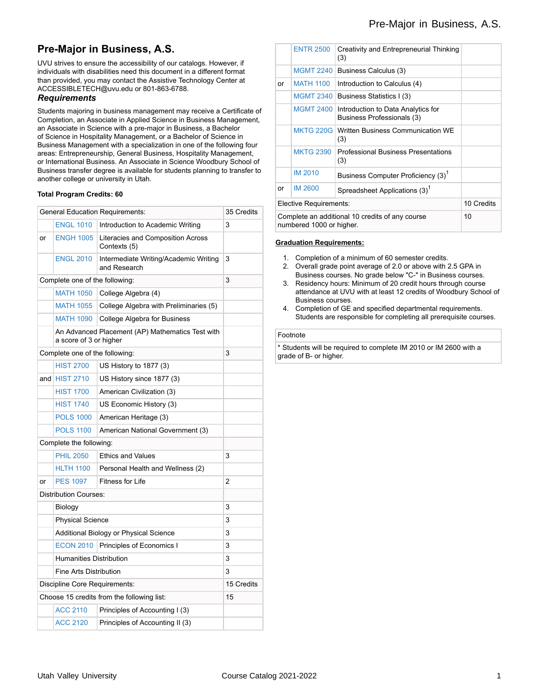# **Pre-Major in Business, A.S.**

UVU strives to ensure the accessibility of our catalogs. However, if individuals with disabilities need this document in a different format than provided, you may contact the Assistive Technology Center at ACCESSIBLETECH@uvu.edu or 801-863-6788.

### *Requirements*

Students majoring in business management may receive a Certificate of Completion, an Associate in Applied Science in Business Management, an Associate in Science with a pre-major in Business, a Bachelor of Science in Hospitality Management, or a Bachelor of Science in Business Management with a specialization in one of the following four areas: Entrepreneurship, General Business, Hospitality Management, or International Business. An Associate in Science Woodbury School of Business transfer degree is available for students planning to transfer to another college or university in Utah.

### **Total Program Credits: 60**

| <b>General Education Requirements:</b>     |                                                       |                                                                                                                                                                                                                                                                               |
|--------------------------------------------|-------------------------------------------------------|-------------------------------------------------------------------------------------------------------------------------------------------------------------------------------------------------------------------------------------------------------------------------------|
| <b>ENGL 1010</b>                           | Introduction to Academic Writing                      | 3                                                                                                                                                                                                                                                                             |
| <b>ENGH 1005</b>                           | Literacies and Composition Across<br>Contexts (5)     |                                                                                                                                                                                                                                                                               |
| <b>ENGL 2010</b>                           | Intermediate Writing/Academic Writing<br>and Research | 3                                                                                                                                                                                                                                                                             |
| Complete one of the following:             |                                                       |                                                                                                                                                                                                                                                                               |
| <b>MATH 1050</b>                           | College Algebra (4)                                   |                                                                                                                                                                                                                                                                               |
| <b>MATH 1055</b>                           | College Algebra with Preliminaries (5)                |                                                                                                                                                                                                                                                                               |
| <b>MATH 1090</b>                           | College Algebra for Business                          |                                                                                                                                                                                                                                                                               |
|                                            |                                                       |                                                                                                                                                                                                                                                                               |
| Complete one of the following:             |                                                       | 3                                                                                                                                                                                                                                                                             |
| <b>HIST 2700</b>                           | US History to 1877 (3)                                |                                                                                                                                                                                                                                                                               |
| and $HIST 2710$                            | US History since 1877 (3)                             |                                                                                                                                                                                                                                                                               |
| <b>HIST 1700</b>                           | American Civilization (3)                             |                                                                                                                                                                                                                                                                               |
| <b>HIST 1740</b>                           | US Economic History (3)                               |                                                                                                                                                                                                                                                                               |
| <b>POLS 1000</b>                           | American Heritage (3)                                 |                                                                                                                                                                                                                                                                               |
| <b>POLS 1100</b>                           | American National Government (3)                      |                                                                                                                                                                                                                                                                               |
|                                            |                                                       |                                                                                                                                                                                                                                                                               |
| <b>PHIL 2050</b>                           | <b>Ethics and Values</b>                              | 3                                                                                                                                                                                                                                                                             |
| <b>HLTH 1100</b>                           | Personal Health and Wellness (2)                      |                                                                                                                                                                                                                                                                               |
| <b>PES 1097</b>                            | <b>Fitness for Life</b>                               | 2                                                                                                                                                                                                                                                                             |
|                                            |                                                       |                                                                                                                                                                                                                                                                               |
| Biology                                    |                                                       | 3                                                                                                                                                                                                                                                                             |
|                                            |                                                       | 3                                                                                                                                                                                                                                                                             |
|                                            |                                                       | 3                                                                                                                                                                                                                                                                             |
| <b>ECON 2010</b>                           | Principles of Economics I                             | 3                                                                                                                                                                                                                                                                             |
|                                            |                                                       | 3                                                                                                                                                                                                                                                                             |
|                                            |                                                       | 3                                                                                                                                                                                                                                                                             |
| Discipline Core Requirements:              |                                                       |                                                                                                                                                                                                                                                                               |
| Choose 15 credits from the following list: |                                                       |                                                                                                                                                                                                                                                                               |
| <b>ACC 2110</b>                            | Principles of Accounting I (3)                        |                                                                                                                                                                                                                                                                               |
| <b>ACC 2120</b>                            | Principles of Accounting II (3)                       |                                                                                                                                                                                                                                                                               |
|                                            |                                                       | An Advanced Placement (AP) Mathematics Test with<br>a score of 3 or higher<br>Complete the following:<br><b>Distribution Courses:</b><br><b>Physical Science</b><br>Additional Biology or Physical Science<br><b>Humanities Distribution</b><br><b>Fine Arts Distribution</b> |

|                                                                             | <b>ENTR 2500</b> | Creativity and Entrepreneurial Thinking<br>(3)                   |            |
|-----------------------------------------------------------------------------|------------------|------------------------------------------------------------------|------------|
|                                                                             | <b>MGMT 2240</b> | Business Calculus (3)                                            |            |
| or                                                                          | <b>MATH 1100</b> | Introduction to Calculus (4)                                     |            |
|                                                                             | <b>MGMT 2340</b> | Business Statistics I (3)                                        |            |
|                                                                             | <b>MGMT 2400</b> | Introduction to Data Analytics for<br>Business Professionals (3) |            |
|                                                                             |                  | <b>MKTG 220G Written Business Communication WE</b><br>(3)        |            |
|                                                                             | <b>MKTG 2390</b> | <b>Professional Business Presentations</b><br>(3)                |            |
|                                                                             | <b>IM 2010</b>   | Business Computer Proficiency (3) <sup>1</sup>                   |            |
| or                                                                          | <b>IM 2600</b>   | Spreadsheet Applications (3) <sup>1</sup>                        |            |
| Elective Requirements:                                                      |                  |                                                                  | 10 Credits |
| Complete an additional 10 credits of any course<br>numbered 1000 or higher. |                  |                                                                  | 10         |

### **Graduation Requirements:**

- 1. Completion of a minimum of 60 semester credits.
- 2. Overall grade point average of 2.0 or above with 2.5 GPA in Business courses. No grade below "C-" in Business courses.
- 3. Residency hours: Minimum of 20 credit hours through course attendance at UVU with at least 12 credits of Woodbury School of Business courses.
- 4. Completion of GE and specified departmental requirements. Students are responsible for completing all prerequisite courses.

#### Footnote

\* Students will be required to complete IM 2010 or IM 2600 with a grade of B- or higher.